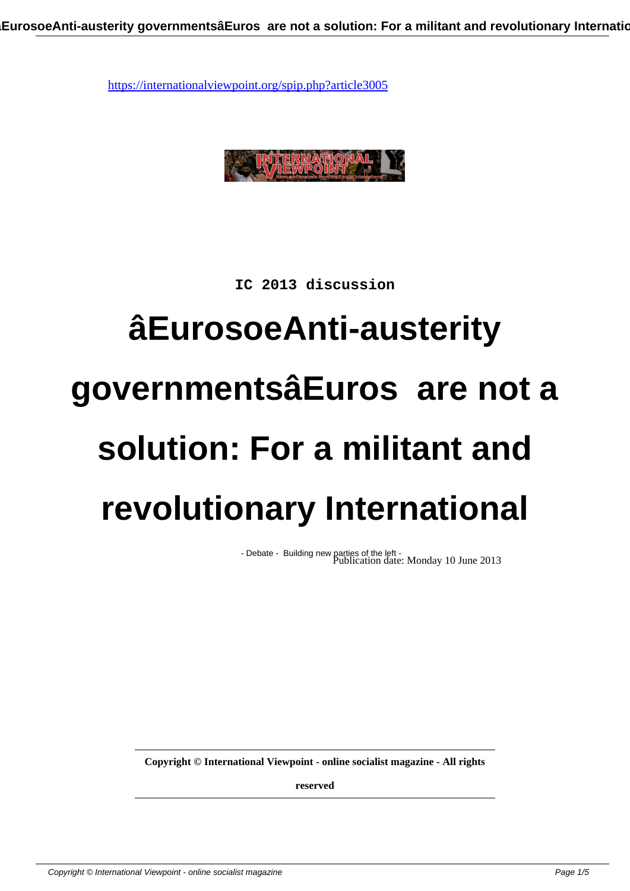

**IC 2013 discussion**

## **âEurosoeAnti-austerity governmentsâEuros are not a solution: For a militant and revolutionary International**

- Debate - Building new parties of the left - Publication date: Monday 10 June 2013

**Copyright © International Viewpoint - online socialist magazine - All rights**

**reserved**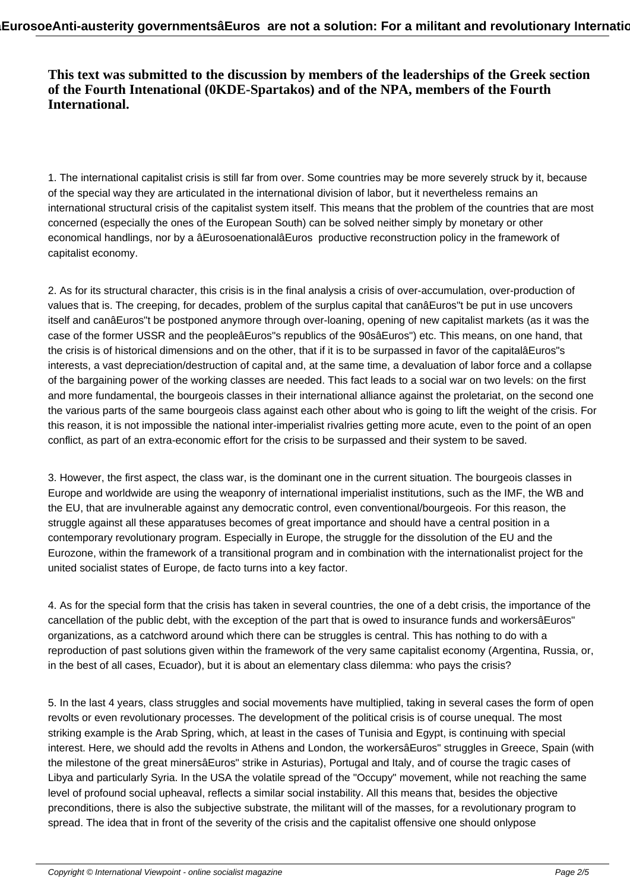## **This text was submitted to the discussion by members of the leaderships of the Greek section of the Fourth Intenational (0KDE-Spartakos) and of the NPA, members of the Fourth International.**

1. The international capitalist crisis is still far from over. Some countries may be more severely struck by it, because of the special way they are articulated in the international division of labor, but it nevertheless remains an international structural crisis of the capitalist system itself. This means that the problem of the countries that are most concerned (especially the ones of the European South) can be solved neither simply by monetary or other economical handlings, nor by a âEurosoenationalâEuros productive reconstruction policy in the framework of capitalist economy.

2. As for its structural character, this crisis is in the final analysis a crisis of over-accumulation, over-production of values that is. The creeping, for decades, problem of the surplus capital that canâEuros"t be put in use uncovers itself and canâEuros"t be postponed anymore through over-loaning, opening of new capitalist markets (as it was the case of the former USSR and the peopleâEuros"s republics of the 90sâEuros") etc. This means, on one hand, that the crisis is of historical dimensions and on the other, that if it is to be surpassed in favor of the capitalâEuros"s interests, a vast depreciation/destruction of capital and, at the same time, a devaluation of labor force and a collapse of the bargaining power of the working classes are needed. This fact leads to a social war on two levels: on the first and more fundamental, the bourgeois classes in their international alliance against the proletariat, on the second one the various parts of the same bourgeois class against each other about who is going to lift the weight of the crisis. For this reason, it is not impossible the national inter-imperialist rivalries getting more acute, even to the point of an open conflict, as part of an extra-economic effort for the crisis to be surpassed and their system to be saved.

3. However, the first aspect, the class war, is the dominant one in the current situation. The bourgeois classes in Europe and worldwide are using the weaponry of international imperialist institutions, such as the IMF, the WB and the EU, that are invulnerable against any democratic control, even conventional/bourgeois. For this reason, the struggle against all these apparatuses becomes of great importance and should have a central position in a contemporary revolutionary program. Especially in Europe, the struggle for the dissolution of the EU and the Eurozone, within the framework of a transitional program and in combination with the internationalist project for the united socialist states of Europe, de facto turns into a key factor.

4. As for the special form that the crisis has taken in several countries, the one of a debt crisis, the importance of the cancellation of the public debt, with the exception of the part that is owed to insurance funds and workersâEuros" organizations, as a catchword around which there can be struggles is central. This has nothing to do with a reproduction of past solutions given within the framework of the very same capitalist economy (Argentina, Russia, or, in the best of all cases, Ecuador), but it is about an elementary class dilemma: who pays the crisis?

5. In the last 4 years, class struggles and social movements have multiplied, taking in several cases the form of open revolts or even revolutionary processes. The development of the political crisis is of course unequal. The most striking example is the Arab Spring, which, at least in the cases of Tunisia and Egypt, is continuing with special interest. Here, we should add the revolts in Athens and London, the workersâEuros" struggles in Greece, Spain (with the milestone of the great minersâEuros" strike in Asturias), Portugal and Italy, and of course the tragic cases of Libya and particularly Syria. In the USA the volatile spread of the "Occupy" movement, while not reaching the same level of profound social upheaval, reflects a similar social instability. All this means that, besides the objective preconditions, there is also the subjective substrate, the militant will of the masses, for a revolutionary program to spread. The idea that in front of the severity of the crisis and the capitalist offensive one should onlypose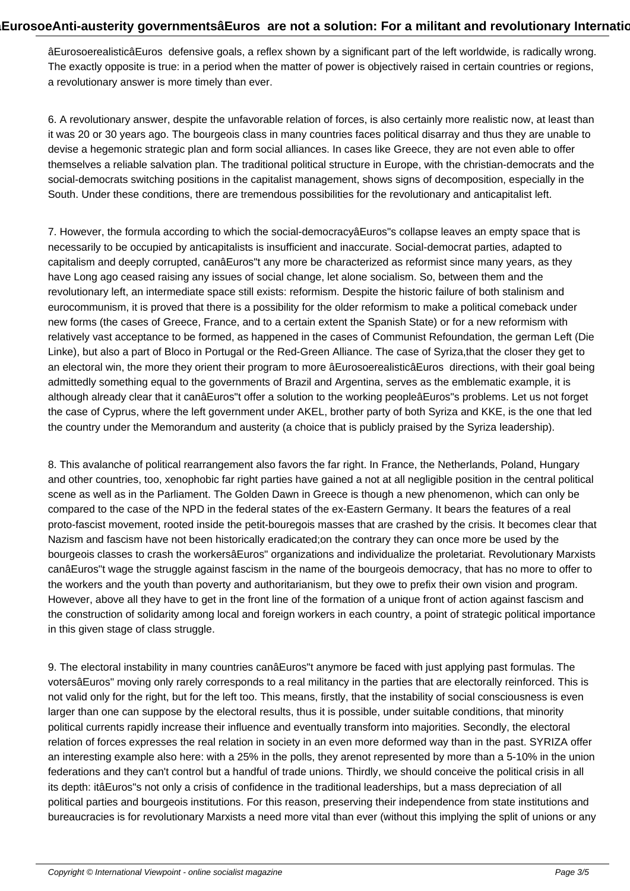âEurosoerealisticâEuros defensive goals, a reflex shown by a significant part of the left worldwide, is radically wrong. The exactly opposite is true: in a period when the matter of power is objectively raised in certain countries or regions, a revolutionary answer is more timely than ever.

6. A revolutionary answer, despite the unfavorable relation of forces, is also certainly more realistic now, at least than it was 20 or 30 years ago. The bourgeois class in many countries faces political disarray and thus they are unable to devise a hegemonic strategic plan and form social alliances. In cases like Greece, they are not even able to offer themselves a reliable salvation plan. The traditional political structure in Europe, with the christian-democrats and the social-democrats switching positions in the capitalist management, shows signs of decomposition, especially in the South. Under these conditions, there are tremendous possibilities for the revolutionary and anticapitalist left.

7. However, the formula according to which the social-democracyâEuros"s collapse leaves an empty space that is necessarily to be occupied by anticapitalists is insufficient and inaccurate. Social-democrat parties, adapted to capitalism and deeply corrupted, canâEuros"t any more be characterized as reformist since many years, as they have Long ago ceased raising any issues of social change, let alone socialism. So, between them and the revolutionary left, an intermediate space still exists: reformism. Despite the historic failure of both stalinism and eurocommunism, it is proved that there is a possibility for the older reformism to make a political comeback under new forms (the cases of Greece, France, and to a certain extent the Spanish State) or for a new reformism with relatively vast acceptance to be formed, as happened in the cases of Communist Refoundation, the german Left (Die Linke), but also a part of Bloco in Portugal or the Red-Green Alliance. The case of Syriza,that the closer they get to an electoral win, the more they orient their program to more âEurosoerealisticâEuros directions, with their goal being admittedly something equal to the governments of Brazil and Argentina, serves as the emblematic example, it is although already clear that it canâEuros"t offer a solution to the working peopleâEuros"s problems. Let us not forget the case of Cyprus, where the left government under AKEL, brother party of both Syriza and KKE, is the one that led the country under the Memorandum and austerity (a choice that is publicly praised by the Syriza leadership).

8. This avalanche of political rearrangement also favors the far right. In France, the Netherlands, Poland, Hungary and other countries, too, xenophobic far right parties have gained a not at all negligible position in the central political scene as well as in the Parliament. The Golden Dawn in Greece is though a new phenomenon, which can only be compared to the case of the NPD in the federal states of the ex-Eastern Germany. It bears the features of a real proto-fascist movement, rooted inside the petit-bouregois masses that are crashed by the crisis. It becomes clear that Nazism and fascism have not been historically eradicated;on the contrary they can once more be used by the bourgeois classes to crash the workersâEuros" organizations and individualize the proletariat. Revolutionary Marxists canâEuros"t wage the struggle against fascism in the name of the bourgeois democracy, that has no more to offer to the workers and the youth than poverty and authoritarianism, but they owe to prefix their own vision and program. However, above all they have to get in the front line of the formation of a unique front of action against fascism and the construction of solidarity among local and foreign workers in each country, a point of strategic political importance in this given stage of class struggle.

9. The electoral instability in many countries canâEuros"t anymore be faced with just applying past formulas. The votersâEuros" moving only rarely corresponds to a real militancy in the parties that are electorally reinforced. This is not valid only for the right, but for the left too. This means, firstly, that the instability of social consciousness is even larger than one can suppose by the electoral results, thus it is possible, under suitable conditions, that minority political currents rapidly increase their influence and eventually transform into majorities. Secondly, the electoral relation of forces expresses the real relation in society in an even more deformed way than in the past. SYRIZA offer an interesting example also here: with a 25% in the polls, they arenot represented by more than a 5-10% in the union federations and they can't control but a handful of trade unions. Thirdly, we should conceive the political crisis in all its depth: itâEuros"s not only a crisis of confidence in the traditional leaderships, but a mass depreciation of all political parties and bourgeois institutions. For this reason, preserving their independence from state institutions and bureaucracies is for revolutionary Marxists a need more vital than ever (without this implying the split of unions or any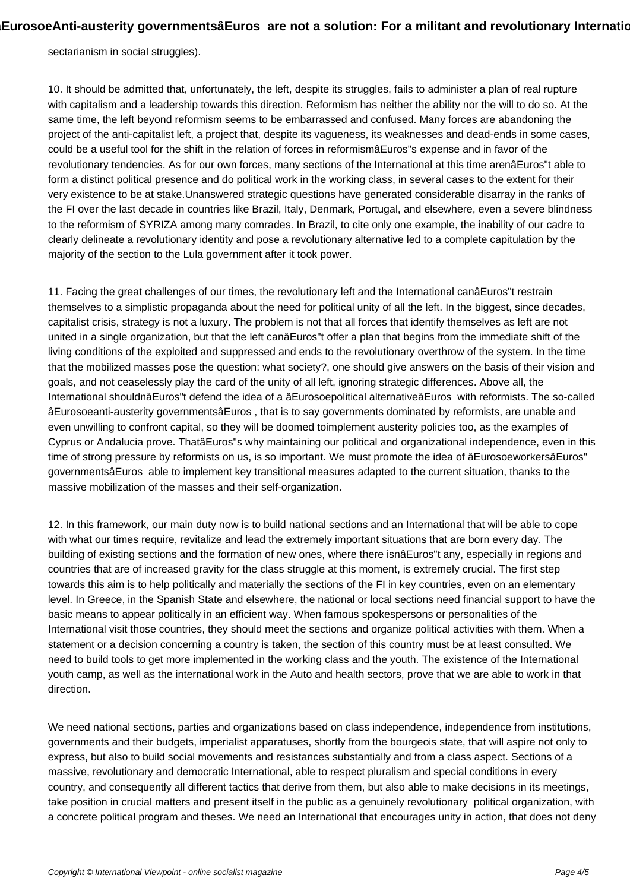sectarianism in social struggles).

10. It should be admitted that, unfortunately, the left, despite its struggles, fails to administer a plan of real rupture with capitalism and a leadership towards this direction. Reformism has neither the ability nor the will to do so. At the same time, the left beyond reformism seems to be embarrassed and confused. Many forces are abandoning the project of the anti-capitalist left, a project that, despite its vagueness, its weaknesses and dead-ends in some cases, could be a useful tool for the shift in the relation of forces in reformismâEuros"s expense and in favor of the revolutionary tendencies. As for our own forces, many sections of the International at this time arenâEuros"t able to form a distinct political presence and do political work in the working class, in several cases to the extent for their very existence to be at stake.Unanswered strategic questions have generated considerable disarray in the ranks of the FI over the last decade in countries like Brazil, Italy, Denmark, Portugal, and elsewhere, even a severe blindness to the reformism of SYRIZA among many comrades. In Brazil, to cite only one example, the inability of our cadre to clearly delineate a revolutionary identity and pose a revolutionary alternative led to a complete capitulation by the majority of the section to the Lula government after it took power.

11. Facing the great challenges of our times, the revolutionary left and the International canâEuros"t restrain themselves to a simplistic propaganda about the need for political unity of all the left. In the biggest, since decades, capitalist crisis, strategy is not a luxury. The problem is not that all forces that identify themselves as left are not united in a single organization, but that the left canâEuros"t offer a plan that begins from the immediate shift of the living conditions of the exploited and suppressed and ends to the revolutionary overthrow of the system. In the time that the mobilized masses pose the question: what society?, one should give answers on the basis of their vision and goals, and not ceaselessly play the card of the unity of all left, ignoring strategic differences. Above all, the International shouldnâEuros"t defend the idea of a âEurosoepolitical alternativeâEuros with reformists. The so-called âEurosoeanti-austerity governmentsâEuros , that is to say governments dominated by reformists, are unable and even unwilling to confront capital, so they will be doomed toimplement austerity policies too, as the examples of Cyprus or Andalucia prove. ThatâEuros"s why maintaining our political and organizational independence, even in this time of strong pressure by reformists on us, is so important. We must promote the idea of âEurosoeworkersâEuros" governmentsâEuros able to implement key transitional measures adapted to the current situation, thanks to the massive mobilization of the masses and their self-organization.

12. In this framework, our main duty now is to build national sections and an International that will be able to cope with what our times require, revitalize and lead the extremely important situations that are born every day. The building of existing sections and the formation of new ones, where there isnâEuros"t any, especially in regions and countries that are of increased gravity for the class struggle at this moment, is extremely crucial. The first step towards this aim is to help politically and materially the sections of the FI in key countries, even on an elementary level. In Greece, in the Spanish State and elsewhere, the national or local sections need financial support to have the basic means to appear politically in an efficient way. When famous spokespersons or personalities of the International visit those countries, they should meet the sections and organize political activities with them. When a statement or a decision concerning a country is taken, the section of this country must be at least consulted. We need to build tools to get more implemented in the working class and the youth. The existence of the International youth camp, as well as the international work in the Auto and health sectors, prove that we are able to work in that direction.

We need national sections, parties and organizations based on class independence, independence from institutions, governments and their budgets, imperialist apparatuses, shortly from the bourgeois state, that will aspire not only to express, but also to build social movements and resistances substantially and from a class aspect. Sections of a massive, revolutionary and democratic International, able to respect pluralism and special conditions in every country, and consequently all different tactics that derive from them, but also able to make decisions in its meetings, take position in crucial matters and present itself in the public as a genuinely revolutionary political organization, with a concrete political program and theses. We need an International that encourages unity in action, that does not deny